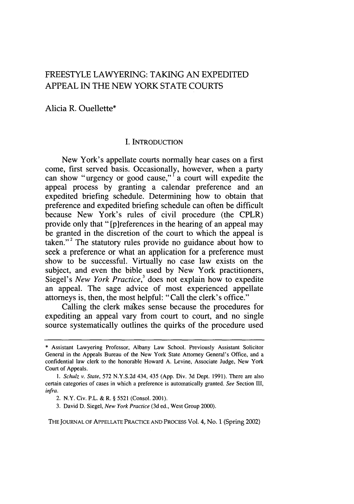# FREESTYLE LAWYERING: TAKING AN EXPEDITED APPEAL IN THE **NEW** YORK STATE COURTS

Alicia R. Ouellette\*

## I. INTRODUCTION

New York's appellate courts normally hear cases on a first come, first served basis. Occasionally, however, when a party can show "urgency or good cause,"<sup>I</sup> a court will expedite the appeal process by granting a calendar preference and an expedited briefing schedule. Determining how to obtain that preference and expedited briefing schedule can often be difficult because New York's rules of civil procedure (the CPLR) provide only that "[p]references in the hearing of an appeal may be granted in the discretion of the court to which the appeal is taken."<sup>2</sup> The statutory rules provide no guidance about how to seek a preference or what an application for a preference must show to be successful. Virtually no case law exists on the subject, and even the bible used by New York practitioners, Siegel's *New York Practice*,<sup>3</sup> does not explain how to expedite an appeal. The sage advice of most experienced appellate attorneys is, then, the most helpful: "Call the clerk's office."

Calling the clerk makes sense because the procedures for expediting an appeal vary from court to court, and no single source systematically outlines the quirks of the procedure used

THE JOURNAL OF APPELLATE PRACTICE AND PROCESS Vol. 4, No. 1 (Spring 2002)

<sup>\*</sup> Assistant Lawyering Professor, Albany Law School. Previously Assistant Solicitor General in the Appeals Bureau of the New York State Attorney General's Office, and a confidential law clerk to the honorable Howard A. Levine, Associate Judge, New York Court of Appeals.

*<sup>1.</sup> Schulz v. State,* 572 N.Y.S.2d 434, 435 (App. Div. 3d Dept. 1991). There are also certain categories of cases in which a preference is automatically granted. *See* Section III, *infra.*

<sup>2.</sup> N.Y. Civ. P.L. & R. § 5521 (Consol. 2001).

<sup>3.</sup> David D. Siegel, New *York Practice* (3d ed., West Group 2000).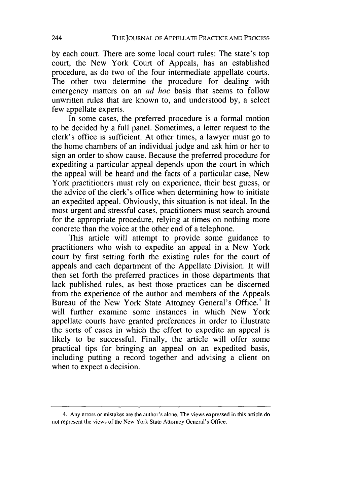by each court. There are some local court rules: The state's top court, the New York Court of Appeals, has an established procedure, as do two of the four intermediate appellate courts. The other two determine the procedure for dealing with emergency matters on an *ad hoc* basis that seems to follow unwritten rules that are known to, and understood by, a select few appellate experts.

In some cases, the preferred procedure is a formal motion to be decided by a full panel. Sometimes, a letter request to the clerk's office is sufficient. At other times, a lawyer must go to the home chambers of an individual judge and ask him or her to sign an order to show cause. Because the preferred procedure for expediting a particular appeal depends upon the court in which the appeal will be heard and the facts of a particular case, New York practitioners must rely on experience, their best guess, or the advice of the clerk's office when determining how to initiate an expedited appeal. Obviously, this situation is not ideal. In the most urgent and stressful cases, practitioners must search around for the appropriate procedure, relying at times on nothing more concrete than the voice at the other end of a telephone.

This article will attempt to provide some guidance to practitioners who wish to expedite an appeal in a New York court by first setting forth the existing rules for the court of appeals and each department of the Appellate Division. It will then set forth the preferred practices in those departments that lack published rules, as best those practices can be discerned from the experience of the author and members of the Appeals Bureau of the New York State Attorney General's Office.<sup>4</sup> It will further examine some instances in which New York appellate courts have granted preferences in order to illustrate the sorts of cases in which the effort to expedite an appeal is likely to be successful. Finally, the article will offer some practical tips for bringing an appeal on an expedited basis, including putting a record together and advising a client on when to expect a decision.

<sup>4.</sup> Any errors or mistakes are the author's alone. The views expressed in this article do not represent the views of the New York State Attorney General's Office.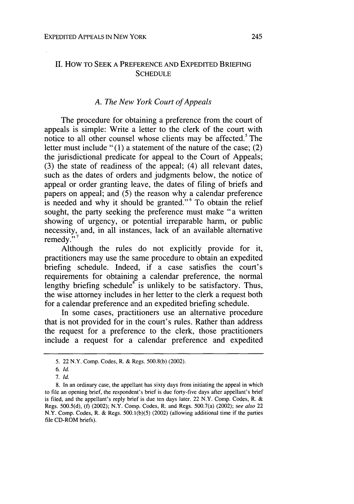## II. HOW TO **SEEK A** PREFERENCE **AND** EXPEDITED BRIEFING **SCHEDULE**

#### *A. The New York Court of Appeals*

The procedure for obtaining a preference from the court of appeals is simple: Write a letter to the clerk of the court with notice to all other counsel whose clients may be affected.<sup>5</sup> The letter must include "(1) a statement of the nature of the case; (2) the jurisdictional predicate for appeal to the Court of Appeals; (3) the state of readiness of the appeal; (4) all relevant dates, such as the dates of orders and judgments below, the notice of appeal or order granting leave, the dates of filing of briefs and papers on appeal; and (5) the reason why a calendar preference is needed and why it should be granted."<sup>6</sup> To obtain the relief sought, the party seeking the preference must make "a written showing of urgency, or potential irreparable harm, or public necessity, and, in all instances, lack of an available alternative remedy."

Although the rules do not explicitly provide for it, practitioners may use the same procedure to obtain an expedited briefing schedule. Indeed, if a case satisfies the court's requirements for obtaining a calendar preference, the normal lengthy briefing schedule<sup> $\epsilon$ </sup> is unlikely to be satisfactory. Thus, the wise attorney includes in her letter to the clerk a request both for a calendar preference and an expedited briefing schedule.

In some cases, practitioners use an alternative procedure that is not provided for in the court's rules. Rather than address the request for a preference to the clerk, those practitioners include a request for a calendar preference and expedited

<sup>5. 22</sup> N.Y. Comp. Codes, R. & Regs. 500.8(b) (2002).

*<sup>6.</sup>* **Id.**

*<sup>7.</sup>* Id.

**<sup>8.</sup>** In an ordinary case, the appellant has sixty days from initiating the appeal in which to file an opening brief, the respondent's brief is due forty-five days after appellant's brief is filed, and the appellant's reply brief is due ten days later. 22 N.Y. Comp. Codes, R. & Regs. 500.5(d), (f) (2002); N.Y. Comp. Codes, R. and Regs. 500.7(a) (2002); *see also* 22 N.Y. Comp. Codes, R. & Regs. 500.1(b)(5) (2002) (allowing additional time if the parties file CD-ROM briefs).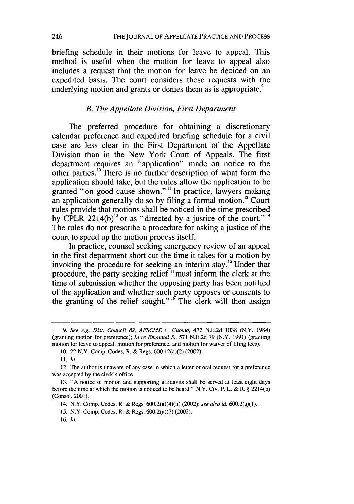briefing schedule in their motions for leave to appeal. This method is useful when the motion for leave to appeal also includes a request that the motion for leave be decided on an expedited basis. The court considers these requests with the underlying motion and grants or denies them as is appropriate.<sup>9</sup>

### *B. The Appellate Division, First Department*

The preferred procedure for obtaining a discretionary calendar preference and expedited briefing schedule for a civil case are less clear in the First Department of the Appellate Division than in the New York Court of Appeals. The first department requires an "application" made on notice to the other parties.<sup>10</sup> There is no further description of what form the application should take, but the rules allow the application to be granted "on good cause shown."" In practice, lawyers making an application generally do so by filing a formal motion.<sup>12</sup> Court rules provide that motions shall be noticed in the time prescribed by CPLR 2214(b)<sup>13</sup> or as "directed by a justice of the court."<sup>14</sup> The rules do not prescribe a procedure for asking a justice of the court to speed up the motion process itself.

In practice, counsel seeking emergency review of an appeal in the first department short cut the time it takes for a motion by invoking the procedure for seeking an interim stay.<sup>15</sup> Under that procedure, the party seeking relief "must inform the clerk at the time of submission whether the opposing party has been notified of the application and whether such party opposes or consents to the granting of the relief sought." <sup>"</sup> The clerk will then assign

*<sup>9.</sup> See e.g. Dist. Council 82, AFSCME v.* Cuomo, 472 N.E.2d 1038 (N.Y, 1984) (granting motion for preference); *In re Emanuel S.,* 571 N.E.2d 79 (N.Y. 1991) (granting motion for leave to appeal, motion for preference, and motion for waiver of filing fees).

<sup>10. 22</sup> N.Y. Comp. Codes, R. & Regs. 600.12(a)(2) (2002).

*II.* **id.**

<sup>12.</sup> The author is unaware of any case in which a letter or oral request for a preference was accepted by the clerk's office.

<sup>13. &</sup>quot;A notice of motion and supporting affidavits shall be served at least eight days before the time at which the motion is noticed to be heard." N.Y. Civ. P. L. & R. § 2214(b) (Consol. 2001).

<sup>14.</sup> N.Y. Comp. Codes, R. & Regs. 600.2(a)(4)(ii) (2002); *see also id.* 600.2(a)(1).

<sup>15.</sup> N.Y. Comp. Codes, R. & Regs. 600.2(a)(7) (2002).

<sup>16.</sup> *Id.*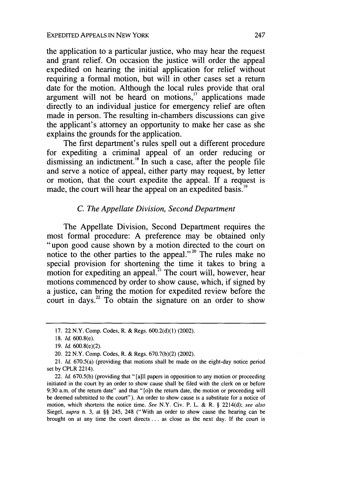the application to a particular justice, who may hear the request and grant relief. On occasion the justice will order the appeal expedited on hearing the initial application for relief without requiring a formal motion, but will in other cases set a return date for the motion. Although the local rules provide that oral argument will not be heard on motions, $17$  applications made directly to an individual justice for emergency relief are often made in person. The resulting in-chambers discussions can give the applicant's attorney an opportunity to make her case as she explains the grounds for the application.

The first department's rules spell out a different procedure for expediting a criminal appeal of an order reducing or dismissing an indictment.'8 In such a case, after the people file and serve a notice of appeal, either party may request, by letter or motion, that the court expedite the appeal. If a request is made, the court will hear the appeal on an expedited basis.<sup>19</sup>

### *C. The Appellate Division, Second Department*

The Appellate Division, Second Department requires the most formal procedure: A preference may be obtained only most formal procedure: A preference may be obtained only "upon good cause shown by a motion directed to the court on notice to the other parties to the appeal."<sup>20</sup> The rules make no special provision for shortening the time it takes to bring a motion for expediting an appeal.<sup>21</sup> The court will, however, hear motions commenced by order to show cause, which, if signed by a justice, can bring the motion for expedited review before the court in days.<sup>22</sup> To obtain the signature on an order to show

<sup>17. 22</sup> N.Y. Comp. Codes, R. & Regs. 600.2(d)(1) (2002).

<sup>18.</sup> *Id.* 600.8(e).

<sup>19.</sup> *Id.* 600.8(e)(2).

<sup>20. 22</sup> N.Y. Comp. Codes, R. & Regs. 670.7(b)(2) (2002).

<sup>21.</sup> *Id.* 670.5(a) (providing that motions shall be made on the eight-day notice period set by CPLR 2214).

<sup>22.</sup> *Id.* 670.5(b) (providing that "[a]ll papers in opposition to any motion or proceeding initiated in the court by an order to show cause shall be filed with the clerk on or before 9:30 a.m. of the return date" and that "[o]n the return date, the motion or proceeding will be deemed submitted to the court"). An order to show cause is a substitute for a notice of motion, which shortens the notice time. *See* N.Y. Civ. P. L. & R. § 2214(d); *see also* Siegel, *supra* n. 3, at §§ 245, 248 ("With an order to show cause the hearing can be brought on at any time the court directs **...** as close as the next day. If the court is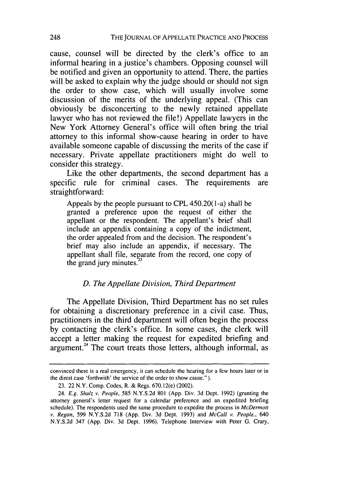cause, counsel will be directed by the clerk's office to an informal hearing in a justice's chambers. Opposing counsel will be notified and given an opportunity to attend. There, the parties will be asked to explain why the judge should or should not sign the order to show case, which will usually involve some discussion of the merits of the underlying appeal. (This can obviously be disconcerting to the newly retained appellate lawyer who has not reviewed the file!) Appellate lawyers in the New York Attorney General's office will often bring the trial attorney to this informal show-cause hearing in order to have available someone capable of discussing the merits of the case if necessary. Private appellate practitioners might do well to consider this strategy.

Like the other departments, the second department has a specific rule for criminal cases. The requirements are straightforward:

Appeals by the people pursuant to CPL 450.20(1-a) shall be granted a preference upon the request of either the appellant or the respondent. The appellant's brief shall include an appendix containing a copy of the indictment, the order appealed from and the decision. The respondent's brief may also include an appendix, if necessary. The appellant shall file, separate from the record, one copy of the grand jury minutes.<sup>2</sup>

#### *D. The Appellate Division, Third Department*

The Appellate Division, Third Department has no set rules for obtaining a discretionary preference in a civil case. Thus, practitioners in the third department will often begin the process by contacting the clerk's office. In some cases, the clerk will accept a letter making the request for expedited briefing and argument.<sup>24</sup> The court treats those letters, although informal, as

convinced there is a real emergency, it can schedule the hearing for a few hours later or in the direst case 'forthwith' the service of the order to show cause.").

<sup>23. 22</sup> N.Y. Comp. Codes, R. & Regs. 670.12(e) (2002).

<sup>24.</sup> E.g. Shulz *v. People,* 585 N.Y.S.2d 801 (App. Div. 3d Dept. 1992) (granting the attorney general's letter request for a calendar preference and an expedited briefing schedule). The respondents used the same procedure to expedite the process in *McDermott v. Regan,* 599 N.Y.S.2d 718 (App. Div. 3d Dept. 1993) and *McCall v. People., 640* N.Y.S.2d 347 (App. Div. 3d Dept. 1996). Telephone Interview with Peter G. Crary,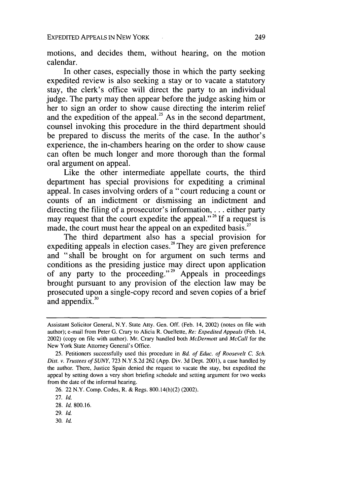motions, and decides them, without hearing, on the motion calendar.

In other cases, especially those in which the party seeking expedited review is also seeking a stay or to vacate a statutory stay, the clerk's office will direct the party to an individual judge. The party may then appear before the judge asking him or her to sign an order to show cause directing the interim relief and the expedition of the appeal.<sup>25</sup> As in the second department counsel invoking this procedure in the third department should be prepared to discuss the merits of the case. In the author's experience, the in-chambers hearing on the order to show cause can often be much longer and more thorough than the formal oral argument on appeal.

Like the other intermediate appellate courts, the third department has special provisions for expediting a criminal appeal. In cases involving orders of a "court reducing a count or counts of an indictment or dismissing an indictment and directing the filing of a prosecutor's information, . . . either party may request that the court expedite the appeal."<sup>26</sup> If a request is made, the court must hear the appeal on an expedited basis.<sup>27</sup>

The third department also has a special provision for expediting appeals in election cases.<sup>28</sup> They are given preference and "shall be brought on for argument on such terms and conditions as the presiding justice may direct upon application of any party to the proceeding."<sup>29</sup> Appeals in proceedings brought pursuant to any provision of the election law may be prosecuted upon a single-copy record and seven copies of a brief and appendix.<sup>30</sup>

30. *Id.*

Assistant Solicitor General, N.Y. State Atty. Gen. Off. (Feb. 14, 2002) (notes on file with author); e-mail from Peter G. Crary to Alicia R. Ouellette, Re: Expedited *Appeals* (Feb. 14, 2002) (copy on file with author). Mr. Crary handled both *McDermott* and *McCall* for the New York State Attorney General's Office.

<sup>25.</sup> Petitioners successfully used this procedure in *Bd. of Educ. of Roosevelt C. Sch.* Dist. *v. Trustees of SUNY,* 723 N.Y.S.2d 262 (App. Div. 3d Dept. 2001), a case handled by the author. There, Justice Spain denied the request to vacate the stay, but expedited the appeal by setting down a very short briefing schedule and setting argument for two weeks from the date of the informal hearing.

<sup>26. 22</sup> N.Y. Comp. Codes, R. & Regs. 800.14(h)(2) (2002).

<sup>27.</sup> *Id.*

<sup>28.</sup> *Id.* 800.16.

<sup>29.</sup> *Id.*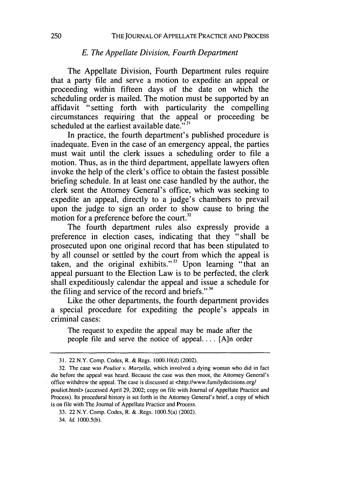#### *E. The Appellate Division, Fourth Department*

The Appellate Division, Fourth Department rules require that a party file and serve a motion to expedite an appeal or proceeding within fifteen days of the date on which the scheduling order is mailed. The motion must be supported by an affidavit "setting forth with particularity the compelling circumstances requiring that the appeal or proceeding be scheduled at the earliest available date." $3<sup>1</sup>$ 

In practice, the fourth department's published procedure is inadequate. Even in the case of an emergency appeal, the parties must wait until the clerk issues a scheduling order to file a motion. Thus, as in the third department, appellate lawyers often invoke the help of the clerk's office to obtain the fastest possible briefing schedule. In at least one case handled by the author, the clerk sent the Attorney General's office, which was seeking to expedite an appeal, directly to a judge's chambers to prevail upon the judge to sign an order to show cause to bring the motion for a preference before the court.<sup>32</sup>

The fourth department rules also expressly provide a preference in election cases, indicating that they "shall be prosecuted upon one original record that has been stipulated to by all counsel or settled by the court from which the appeal is taken, and the original exhibits."33 Upon learning "that an appeal pursuant to the Election Law is to be perfected, the clerk shall expeditiously calendar the appeal and issue a schedule for the filing and service of the record and briefs."  $34$ 

Like the other departments, the fourth department provides a special procedure for expediting the people's appeals in criminal cases:

The request to expedite the appeal may be made after the people file and serve the notice of appeal **....** [A]n order

34. **Id.** 1000.5(b).

<sup>31. 22</sup> N.Y. Comp. Codes, R. & Regs. 1000. **1** 0(d) (2002).

<sup>32.</sup> The case was *Pouliot v. Marzella*, which involved a dying woman who did in fact die before the appeal was heard. Because the case was then moot, the Attorney General's office withdrew the appeal. The case is discussed at <http://www.familydecisions.org/ pouliot.html> (accessed April 29, 2002; copy on file with Journal of Appellate Practice and Process). Its procedural history is set forth in the Attorney General's brief, a copy of which is on file with The Journal of Appellate Practice and Process.

<sup>33. 22</sup> N.Y. Comp. Codes, R. & .Regs. 1000.5(a) (2002).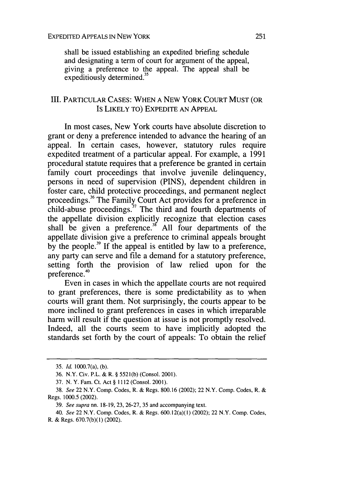shall be issued establishing an expedited briefing schedule and designating a term of court for argument of the appeal, giving a preference to the appeal. The appeal shall be expeditiously determined.<sup>3</sup>

## III. PARTICULAR CASES: WHEN A NEW YORK COURT MUST (OR Is LIKELY TO) EXPEDITE AN APPEAL

In most cases, New York courts have absolute discretion to grant or deny a preference intended to advance the hearing of an appeal. In certain cases, however, statutory rules require expedited treatment of a particular appeal. For example, a 1991 procedural statute requires that a preference be granted in certain family court proceedings that involve juvenile delinquency, persons in need of supervision (PINS), dependent children in foster care, child protective proceedings, and permanent neglect proceedings.<sup>36</sup> The Family Court Act provides for a preference in child-abuse proceedings.<sup>37</sup> The third and fourth departments of the appellate division explicitly recognize that election cases shall be given a preference." All four departments of the appellate division give a preference to criminal appeals brought by the people.<sup>39</sup> If the appeal is entitled by law to a preference, any party can serve and file a demand for a statutory preference, setting forth the provision of law relied upon for the preference.<sup>40</sup>

Even in cases in which the appellate courts are not required to grant preferences, there is some predictability as to when courts will grant them. Not surprisingly, the courts appear to be more inclined to grant preferences in cases in which irreparable harm will result if the question at issue is not promptly resolved. Indeed, all the courts seem to have implicitly adopted the standards set forth by the court of appeals: To obtain the relief

<sup>35.</sup> *Id.* 1000.7(a), (b).

<sup>36.</sup> N.Y. Civ. P.L. & R. § 5521(b) (Consol. 2001).

<sup>37.</sup> N. Y. Fam. Ct. Act § 1112 (Consol. 2001).

<sup>38.</sup> *See* 22 N.Y. Comp. Codes, R. & Regs. 800.16 (2002); 22 N.Y. Comp. Codes, R. & Regs. 1000.5 (2002).

<sup>39.</sup> See supra nn. 18-19, 23, 26-27, 35 and accompanying text.

<sup>40.</sup> See 22 N.Y. Comp. Codes, R. & Regs. 600.12(a)(1) (2002); 22 N.Y. Comp. Codes, R. & Regs. 670.7(b)(1) (2002).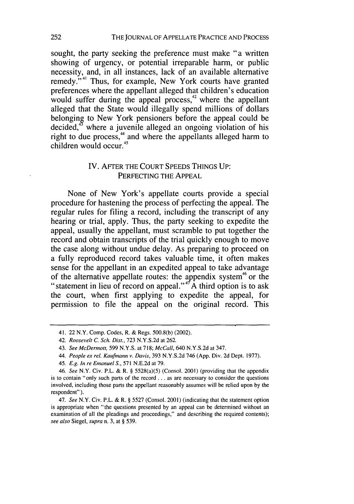sought, the party seeking the preference must make "a written showing of urgency, or potential irreparable harm, or public necessity, and, in all instances, lack of an available alternative remedy."<sup>41</sup> Thus, for example, New York courts have granted preferences where the appellant alleged that children's education would suffer during the appeal process,<sup>42</sup> where the appellant alleged that the State would illegally spend millions of dollars belonging to New York pensioners before the appeal could be decided, $4^{\circ}$  where a juvenile alleged an ongoing violation of his right to due process,<sup>44</sup> and where the appellants alleged harm to children would occur.<sup>45</sup>

## IV. AFTER THE COURT SPEEDS THINGS UP: PERFECTING THE APPEAL

None of New York's appellate courts provide a special procedure for hastening the process of perfecting the appeal. The regular rules for filing a record, including the transcript of any hearing or trial, apply. Thus, the party seeking to expedite the appeal, usually the appellant, must scramble to put together the record and obtain transcripts of the trial quickly enough to move the case along without undue delay. As preparing to proceed on a fully reproduced record takes valuable time, it often makes sense for the appellant in an expedited appeal to take advantage of the alternative appellate routes: the appendix system<sup>46</sup> or the "statement in lieu of record on appeal."47 A third option is to ask the court, when first applying to expedite the appeal, for permission to file the appeal on the original record. This

45. E.g. *In* re Emanuel S., 571 N.E.2d at 79.

<sup>41. 22</sup> N.Y. Comp. Codes, R. & Regs. 500.8(b) (2002).

<sup>42.</sup> Roosevelt **C.** Sch. Dist., 723 N.Y.S.2d at 262.

<sup>43.</sup> See **McDermott,** 599 N.Y.S. at 718; McCall, 640 N.Y.S.2d at 347.

<sup>44.</sup> People ex rel. Kaufmann *v.* Davis, 393 N.Y.S.2d 746 (App. Div. 2d Dept. 1977).

<sup>46.</sup> See N.Y. Civ. P.L. & R. § 5528(a)(5) (Consol. 2001) (providing that the appendix is to contain "only such parts of the record **...** as are necessary to consider the questions involved, including those parts the appellant reasonably assumes will be relied upon **by** the respondent").

<sup>47.</sup> See N.Y. Civ. P.L. & R. § 5527 (Consol. 2001) (indicating that the statement option is appropriate when "the questions presented **by** an appeal can be determined without an examination of all the pleadings and proceedings," and describing the required contents); see also Siegel, supra n. 3, at § 539.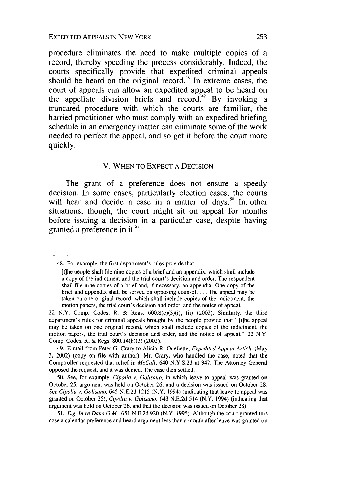procedure eliminates the need to make multiple copies of a record, thereby speeding the process considerably. Indeed, the courts specifically provide that expedited criminal appeals should be heard on the original record.<sup>48</sup> In extreme cases, the court of appeals can allow an expedited appeal to be heard on the appellate division briefs and record.<sup>49</sup> By invoking a truncated procedure with which the courts are familiar, the harried practitioner who must comply with an expedited briefing schedule in an emergency matter can eliminate some of the work needed to perfect the appeal, and so get it before the court more quickly.

### V. WHEN TO EXPECT A DECISION

The grant of a preference does not ensure a speedy decision. In some cases, particularly election cases, the courts will hear and decide a case in a matter of days.<sup>50</sup> In other situations, though, the court might sit on appeal for months before issuing a decision in a particular case, despite having granted a preference in **it."5**

<sup>48.</sup> For example, the first department's rules provide that

<sup>[</sup>t]he people shall file nine copies of a brief and an appendix, which shall include a copy of the indictment and the trial court's decision and order. The respondent shall file nine copies of a brief and, if necessary, an appendix. One copy of the brief and appendix shall be served on opposing counsel.... The appeal may be taken on one original record, which shall include copies of the indictment, the motion papers, the trial court's decision and order, and the notice of appeal.

<sup>22</sup> N.Y. Comp. Codes, R. & Regs. 600.8(e)(3)(i), (ii) (2002). Similarly, the third department's rules for criminal appeals brought by the people provide that "[tlhe appeal may be taken on one original record, which shall include copies of the indictment, the motion papers, the trial court's decision and order, and the notice of appeal." 22 N.Y. Comp. Codes, R. & Regs. 800.14(h)(3) (2002).

<sup>49.</sup> E-mail from Peter G. Crary to Alicia R. Ouellette, Expedited *Appeal Article* (May 3, 2002) (copy on file with author). Mr. Crary, who handled the case, noted that the Comptroller requested that relief in *McCall,* 640 N.Y.S.2d at 347. The Attorney General opposed the request, and it was denied. The case then settled.

<sup>50.</sup> See, for example, *Cipolia v. Golisano,* in which leave to appeal was granted on October 25, argument was held on October 26, and a decision was issued on October 28. *See Cipolia v. Golisano,* 645 N.E.2d 1215 (N.Y. 1994) (indicating that leave to appeal was granted on October 25); *Cipolia v. Golisano,* 643 N.E.2d 514 (N.Y. 1994) (indicating that argument was held on October 26, and that the decision was issued on October 28).

<sup>51.</sup> *E.g. In re Dana G.M.,* 651 N.E.2d 920 (N.Y. 1995). Although the court granted this case a calendar preference and heard argument less than a month after leave was granted on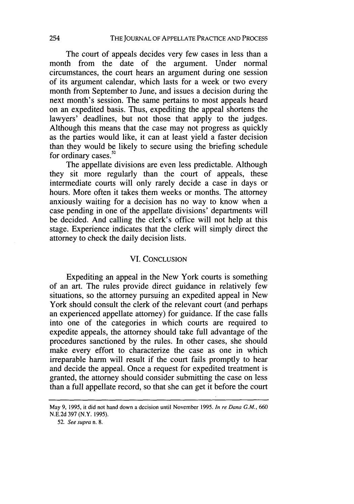The court of appeals decides very few cases in less than a month from the date of the argument. Under normal circumstances, the court hears an argument during one session of its argument calendar, which lasts for a week or two every month from September to June, and issues a decision during the next month's session. The same pertains to most appeals heard on an expedited basis. Thus, expediting the appeal shortens the lawyers' deadlines, but not those that apply to the judges. Although this means that the case may not progress as quickly as the parties would like, it can at least yield a faster decision than they would be likely to secure using the briefing schedule for ordinary cases.<sup>52</sup>

The appellate divisions are even less predictable. Although they sit more regularly than the court of appeals, these intermediate courts will only rarely decide a case in days or hours. More often it takes them weeks or months. The attorney anxiously waiting for a decision has no way to know when a case pending in one of the appellate divisions' departments will be decided. And calling the clerk's office will not help at this stage. Experience indicates that the clerk will simply direct the attorney to check the daily decision lists.

#### VI. CONCLUSION

Expediting an appeal in the New York courts is something of an art. The rules provide direct guidance in relatively few situations, so the attorney pursuing an expedited appeal in New York should consult the clerk of the relevant court (and perhaps an experienced appellate attorney) for guidance. If the case falls into one of the categories in which courts are required to expedite appeals, the attorney should take full advantage of the procedures sanctioned by the rules. In other cases, she should make every effort to characterize the case as one in which irreparable harm will result if the court fails promptly to hear and decide the appeal. Once a request for expedited treatment is granted, the attorney should consider submitting the case on less than a full appellate record, so that she can get it before the court

May 9, 1995, it did not hand down a decision until November 1995. *In re Dana G.M.,* 660 N.E.2d 397 (N.Y. 1995).

<sup>52.</sup> *See supra* n. 8.